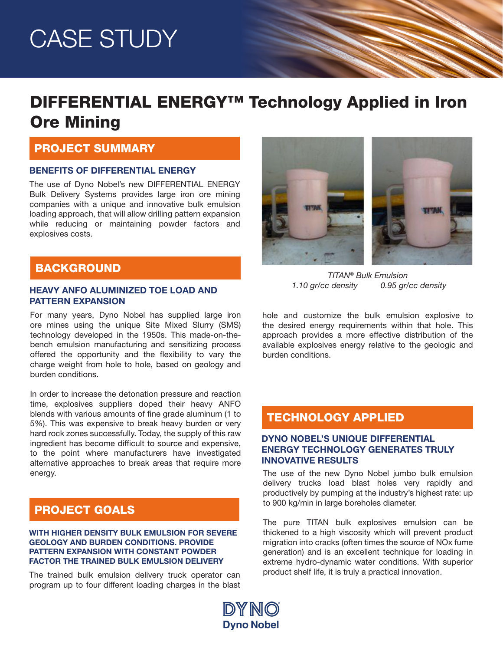# CASE STUDY

# DIFFERENTIAL ENERGY™ Technology Applied in Iron Ore Mining

### PROJECT SUMMARY

#### BENEFITS OF DIFFERENTIAL ENERGY

The use of Dyno Nobel's new DIFFERENTIAL ENERGY Bulk Delivery Systems provides large iron ore mining companies with a unique and innovative bulk emulsion loading approach, that will allow drilling pattern expansion while reducing or maintaining powder factors and explosives costs.

# **BACKGROUND**

#### HEAVY ANFO ALUMINIZED TOE LOAD AND PATTERN EXPANSION

For many years, Dyno Nobel has supplied large iron ore mines using the unique Site Mixed Slurry (SMS) technology developed in the 1950s. This made-on-thebench emulsion manufacturing and sensitizing process offered the opportunity and the flexibility to vary the charge weight from hole to hole, based on geology and burden conditions.

In order to increase the detonation pressure and reaction time, explosives suppliers doped their heavy ANFO blends with various amounts of fine grade aluminum (1 to 5%). This was expensive to break heavy burden or very hard rock zones successfully. Today, the supply of this raw ingredient has become difficult to source and expensive, to the point where manufacturers have investigated alternative approaches to break areas that require more energy.

### PROJECT GOALS

#### WITH HIGHER DENSITY BULK EMULSION FOR SEVERE GEOLOGY AND BURDEN CONDITIONS. PROVIDE PATTERN EXPANSION WITH CONSTANT POWDER FACTOR THE TRAINED BULK EMULSION DELIVERY

The trained bulk emulsion delivery truck operator can program up to four different loading charges in the blast



*TITAN® Bulk Emulsion 1.10 gr/cc density 0.95 gr/cc density*

hole and customize the bulk emulsion explosive to the desired energy requirements within that hole. This approach provides a more effective distribution of the available explosives energy relative to the geologic and burden conditions.

### TECHNOLOGY APPLIED

#### DYNO NOBEL'S UNIQUE DIFFERENTIAL ENERGY TECHNOLOGY GENERATES TRULY INNOVATIVE RESULTS

The use of the new Dyno Nobel jumbo bulk emulsion delivery trucks load blast holes very rapidly and productively by pumping at the industry's highest rate: up to 900 kg/min in large boreholes diameter.

The pure TITAN bulk explosives emulsion can be thickened to a high viscosity which will prevent product migration into cracks (often times the source of NOx fume generation) and is an excellent technique for loading in extreme hydro-dynamic water conditions. With superior product shelf life, it is truly a practical innovation.